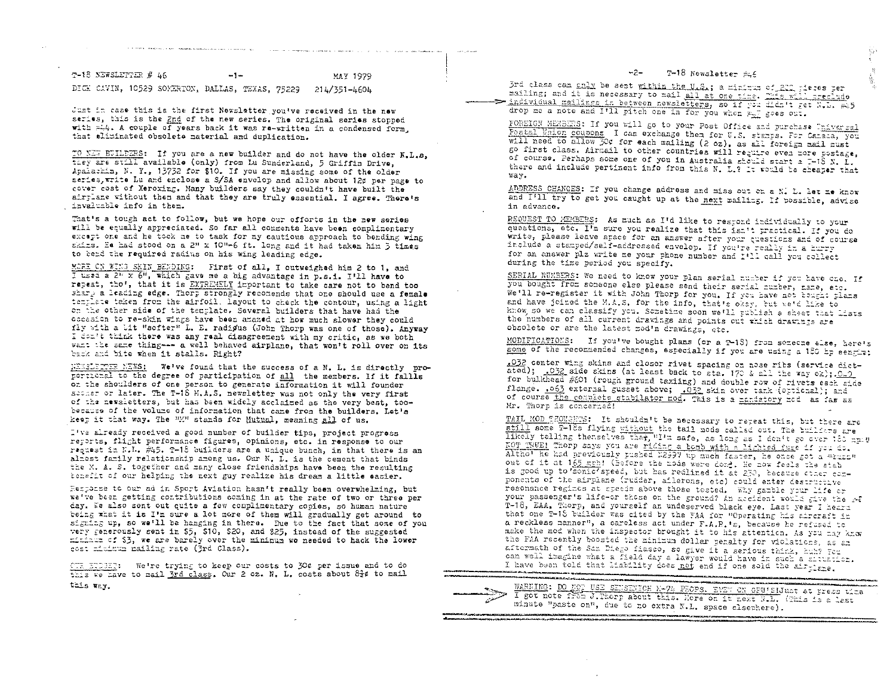| communications in completed for the state of the control complete complete state of the control complete state of the control complete state of the control complete state of the control control control control control cont |  |  |  |  |  |  |  | the contract of the company of the second contract of the contract of the contract of the contract of the contract of the contract of the contract of the contract of the contract of the contract of the contract of the cont | <b>Search College Search</b> |
|--------------------------------------------------------------------------------------------------------------------------------------------------------------------------------------------------------------------------------|--|--|--|--|--|--|--|--------------------------------------------------------------------------------------------------------------------------------------------------------------------------------------------------------------------------------|------------------------------|
|--------------------------------------------------------------------------------------------------------------------------------------------------------------------------------------------------------------------------------|--|--|--|--|--|--|--|--------------------------------------------------------------------------------------------------------------------------------------------------------------------------------------------------------------------------------|------------------------------|

| T-18 NEWSLETTER # 46 |  |                                                  | $-$ |  |  | MAY 1979     |  |
|----------------------|--|--------------------------------------------------|-----|--|--|--------------|--|
|                      |  | DICE CAVIN, 10529 SOMERTON, DALLAS, TEXAS, 75229 |     |  |  | 214/351-4604 |  |

and the process of the contract of

Just in case this is the first Newsletter you've received in the new serias, this is the 2nd of the new series. The original series stopped with =14. A couple of years back it was re-written in a condensed form. that aliminated obsolete material and duplication.

TO NEW BUILDERS: If you are a new builder and do not have the older N.L.B. they are still available (only) from Lu Sunderland, 5 Griffin Drive, Apalachin, N. Y., 13732 for \$10. If you are missing some of the older series. write Lu and enclose a S/SA envelop and allow about 12¢ per page to cover cost of Xeroxing. Many builders say they couldn't have built the airrlane without then and that they are truly essential. I agree. There's invaluable info in them.

That's a tough act to follow, but we hope our efforts in the new series will be equally appreciated. So far all comments have been complimentary except one and he took me to task for my cautious approach to bending wing skins. Ee had stood on a 2" x 10"-6 ft. long and it had taken him 3 times to bend the required radius on his wing leading edge.

MORE CN WING SKIN BENDING: First of all, I outweighed him 2 to 1, and I used a  $2^n$  x  $6^n$ , which gave me a big advantage in p.s.1. I'll have to recest. tho', that it is EXTREMELY important to take care not to bend too sharp a leading edge. Thorp strongly recomends that one should use a female template taken from the airfoil. Layout to check the contour, using a light on the other side of the template. Several builders that have had the cocasion to re-skin wings have been amazed at how much slower they could fly with a lit "softer" L. E. radigus (John Thorp was one of those). Anyway I don't think there was any real disagreement with my critic, as we both want the same thing --- a well behaved airplane, that won't roll over on its back and bite when it stalls. Right?

NEWSLETTER NEWS: We've found that the success of a N. L. is directly proportional to the degree of participation of all the members. If it fallls on the shoulders of one person to generate information it will founder secher or later. The T-18 M.A.S. newsletter was not only the very first of the newsletters, but has been widely acclaimed as the very best, toobecause of the volume of information that came from the builders. Let's keep it that way. The "M" stands for Mutual, meaning all of us.

I've already received a good number of builder tips, project progress reports, flight performance figures, opinions, etc. in response to our request in N.L. 245. T-18 builders are a unique bunch, in that there is an almost family relationship among us. Our N. L. is the cement that binds the M. A. S. together and many close friendships have been the resulting tenefit of our helping the next guy realize his dream a little casier.

Hespense to our ad in Sport Aviation hasn't really been overwhelming, but we've been getting contributions coming in at the rate of two or three per day. We also sent out quite a few complimentary conies, so human nature being what it is I'm sure a lot more of them will gradually get around to signing up, so we'll be hanging in there. Due to the fact that some of you very generously sent in \$5, \$10, \$20, and \$25, instead of the suggested mininum of \$3, we are barely over the minimum we needed to hack the lower cost mitimum mailing rate (3rd Class).

OTR ETDEET: We're trying to keep our costs to 30¢ per issue and to do this we have to mail 3rd class. Our 2 oz. N. L. costs about 81¢ to mail this way.

#### T-18 Newsletter  $\approx \epsilon$  $-2-$

3rd class can only be sent within the U.S.; a minimum of 200 piers per mailing; and it is necessary to mail all at one pine. This will preclude > individual mailings in between newsletters, so if you didn't get N.D. F45 drop me a note and I'll pitch one in for you when = goes out.

FOREIGN MEMBERS: If you will go to your Post Office and purchase Universal Postal Union coupons I can exchange them for U.S. starps. For Caraca, you will need to allow 30% for each mailing (2 oz), as all foreign mail must go first class. Airmail to other countries will resulte even more postage, of course. Perhaps some one of you in Australia should start a I-18 N. I. there and include pertinent info from this N. L.? It would be cheaper that way.

ADDRESS CHANGES: If you change address and miss out on a N. L. let me know and I'll try to get you caught up at the next mailing. If possible, advise in advance.

REGUEST TO MEMBERS: As much as I'd like to respond individually to your questions, etc. I'm sure you realize that this isn't practical. If you do write, please leave space for an answer after your questions and of course include a stamped/self-addressed envelop. If you're really in a hurry for an answer plz write me your phone number and I'll call you collect during the time period you specify.

SERIAL NUMBERS: We need to know your plan serial number if you have one. If you bought from someone else please send their serial number, name, etc. We'll re-register it with John Thorp for you. If you have not bought plans and have joined the M.A.S. for the info, that's oksy, but we'd like to know, so we can classify you. Sometime soon we'll publish a sheet that lists the numbers of all current drawings and points out which drawings are obsolete or are the latest mod'n drawings, etc.

MODIFICATIONS: If you've bought plans (or a T-18) from someone else, here's some of the recommended changes, especially if you are using a 180 hp eengir:

.032 center wing skins and closer rivet spacing on nose ribs (service dictated); .032 side skins (at least back to sta. 170 & all the way or);.0.0 for bulkhead #601 (rough ground taxiing) and double row of rivets each side flange. 063 external gusset above; 032 skin over tank (optional); and of course the consiste stabilator nod. This is a maniatory nod as far as Mr. Thorp is concerned!

TAIL MOD THOUGHTS: It shouldn't be necessary to repeat this, but there are still some T-18s flying without the tail mods called out. The buildars are likely telling thenselves thet, "I'm safe, as long as I don't go over 180 mp.u KOT TSUE! Thorp says you are riding a bomb with a lighted fuge if you do. Altho' he had previously pushed E2997 up much faster, he once got a "tunn" out of it at 165 mgh! (Before the mods were dond. He now feels the stab is good up to somic'speed, but has redlined it at 230, because cther components of the airplane (rudder, ailerons, etc) could enter destructive resonance regimes at speeds above those tested. Why gamble your life or your passenger's life-or those on the ground? An accident would give the re T-18, EAA. Thorp, and yourself an undeserved black eye. Last year I heard that one T-18 builder was cited by the FAA for "Operating his aircraft in a reckless manner", a careless act under F.A.R.'s, because he refused to make the mod when the inspector brought it to his attention. As you may know the FAA recently boosted the minimum dollar penalty for violations, as an aftermath of the San Diego flasco, so give it a serious think, hub? You can well imagine what a field day a lawyer would have in such a situation. I have been told that liability does not end if one sold the air tighe.

WARNING: DO NOT USE SENSENICH K-74 PROPS. EVEN ON GPU'SIJust at press time I got note from J. Thorp about this. Here on it next N.L. (This is a last minute "paste on", due to no extra N.L. space elsewhere). ,<br>Тог, бал жана курактары, кан карайы мамлекеттик кан кан курактар кан тарап, карай карай кан кан кан кан кан ка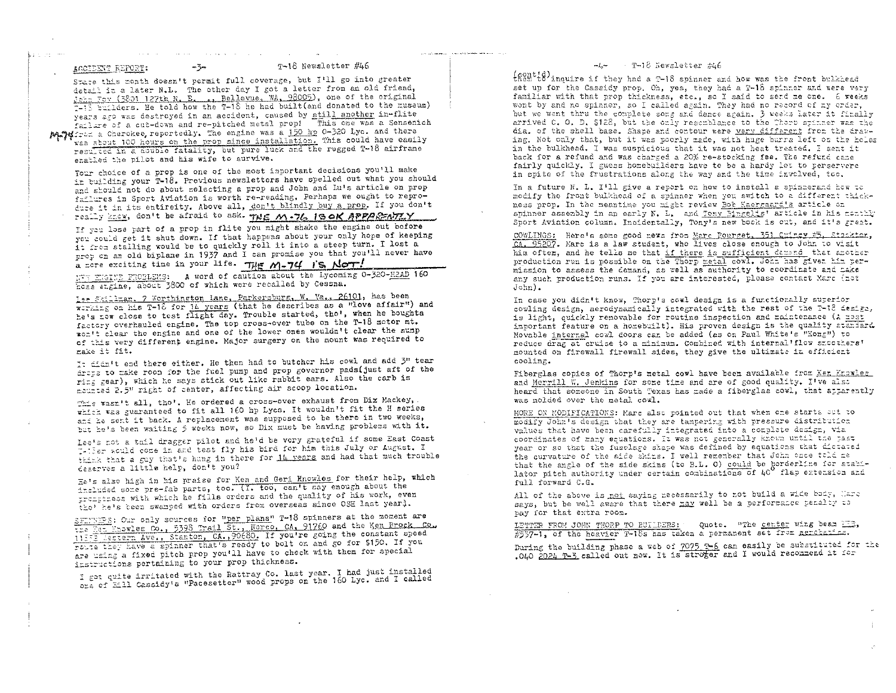bas os me

.<br>In the contract and annual contract and the contract of the contract of the contract of the contract of the co

State this month doesn't permit full coverage, but I'll go into greater detail in a later N.L. The other day I got a letter from an old friend, John Fox (3801 127th N. E. .. Bellevue, WA. 98005), one of the original 7-15 builders. He told how the T-18 he had built (and donated to the museum) years ago was destroyed in an accident, caused by still another in-flite failure of a cut-down and re-pitched metal prop! This one was a Sensenich MATHERS a Cherokee, reportedly. The engine was a 150 hp 0-320 Lyc. and there was shout 100 hours on the prop since installation. This could have easily resulted in a double fatality, but pure luck and the rugged T-18 airfrane

enabled the pilot and his wife to survive.

special control of the special control of the special control of the special control of the special control of

 $-5$ 

Your choice of a prop is one of the most important decisions you'll make in building your T-18. Previous newsletters have spelled out what you should and should not do about selecting a prop and John and Lu's article on prop failures in Sport Aviation is worth re-reading. Perhaps we ought to reproduce it in its entireity. Above all, don't blindly buy a prop. If you don't really know, don't be afraid to ask. THE M.76 ISOK APPARENTLY

If you lose part of a prop in flite you might shake the engine out before you could get it shut down. If that happens about your only hope of keeping it free stalling would be to quickly roll it into a steep turn. I lost a prop on an old biplane in 1937 and I can promise you that you'll never have a nore exciting time in your life. The  $M-74$  is Nor!

NTT ENGINE PROBLEMS: A word of caution about the Lycoming 0-320-H2AD 160 hoss exgine, about 3800 of which were recalled by Cessna.

Lee Skillman, 7 Worthington Lane, Parkersburg, W. Ya., 26101, has been werking on his T-18 for 14 years (that he describes as a "love affair") and he's now close to test flight day. Trouble started, tho', when he boughts factory overhauled engine. The top cross-over tube on the T-18 motor mt. won't clear the engine and one of the lower ones wouldn't clear the sump of this very different engine. Major surgery on the mount was required to make it fit.

It didn't end there either. He then had to butcher his cowl and add 3" tear drops to make room for the fuel pump and prop governor pads (just aft of the ring gear), which he says stick out like rabbit ears. Also the carb is mounted 2.5" right of center, affecting air scoop location.

This wasn't all, tho'. He ordered a cross-over exhaust from Dix Mackey, . which was guaranteed to fit all 160 hp Lycs. It wouldn't fit the H series and he sent it back. A replacement was supposed to be there in two weeks, but he's been waiting 5 weeks now, so Dix must be having problems with it.

Lee's not a tail dragger pilot and he'd be very grateful if some East Coast I-ther would come in and test fly his bird for him this July or August. I think that a guy that's hung in there for 14 years and had that much trouble deserves a little help, don't you?

He's also high in his praise for Ken and Geri Knowles for their help, which included some pre-fab parts, too. (I. too, can't say enough about the trongtress with which he fills orders and the quality of his work, even tho' he's been swamped with orders from overseas since OSH last yearl.

SFINERS: Our only sources for "per plans" T-18 spinners at the moment are the Sam Enowles Co., 5398 Trail St., Norco, CA, 91760 and the Ken Brock Co., 11352 Mestern Ave., Stanton, CA., 90680. If you're going the constant speed route they have a spinner that's ready to bolt on and go for \$150. If you are using a fixed pitch prop you'll have to check with them for special instructions pertaining to your prop thickness.

I got quite irritated with the Rattray Co. last year. I had just installed ore of Eill Cassidy's "Pacesetter" wood props on the 160 Lyc. and I called

### T-16 Newsletter #46

themtid) inouire if they had a T-18 spinner and how was the front bulkhead set up for the Cassidy prop. On, yes, they had a T-18 spinner and were very familiar with that prop thickness, etc., so I said to send me one. 6 weeks went by and no spinner, so I called again. They had no record of my order, but we went thru the complete song and dance again. 3 weeks later it finally arrived C. O. D. \$128, but the only resemblance to the Thorp spinner was the dia. of the shell base. Shape and contour were very different from the drawing. Not only that, but it was poorly made, with huge burrs left on the holes in the bulkhead. I was suspicious that it was not heat treated. I sent it back for a refund and was charged a 20% re-stocking fee. The refund came fairly quickly. I guess homebuilders have to be a hardy lot to perservere in spite of the frustrations along the way and the time involved, too.

In a future N. L. I'll give a report on how to install a spinnerand how to modify the front bulkhead of a spinner when you switch to a different thickness prop. In the meantime you might review Bob Kaergaard's article on spinner assembly in an early N. L. and Tony Singelis' article in his monthly Sport Aviation column. Incidentally, Tony's new book is out, and it's great.

COWLINGS: Here's some good news from Marc Bourget, 351 Guincy #5, Stackton, CA, 95207. Marc is a law student, who lives close enough to John to visit him often, and he tells me that if there is sufficient demand that another production run is possible on the Thorp metal cowl. John has given him permission to assess the demand, as well as authority to coordinate and make any such production runs. If you are interested, please contact Marc (not  $John$ .

In case you didn't know, Thorp's cowl design is a functionally superior cowling design, aerodynamically integrated with the rest of the T-18 design, is light, quickly removable for routine inspection and maintenance (A most important feature on a homebuilt). His proven design is the quality standard Movable internal cowl doors can be added (as on Paul White's "Xong") to reduce drag at cruise to a minimum. Combined with internal 'flow smoothers' mounted on firewall firewall sides, they give the ultimate in efficient cooling.

Fiberglas copies of Thorp's metal cowl have been available from Ken Knowles and Merrill W. Jenkins for some time and are of good quality. I've also heard that someone in South Texas has made a fiberglas cowl, that apparently was molded over the metal cowl.

MORE ON MODIFICATIONS: Marc also pointed out that when one starts out to modify John's design that they are tampering with pressure distribution values that have been carefully integrated into a complete design, via coordinates of many equations. It was not generally known until the past year or so that the fuselage shape was defined by equations that dictated the curvature of the side skins. I well remember that John once told me that the angle of the side skins (to B.L. O) could be gorderline for stabilator pitch authority under certain combinations of 40° flap extension and full forward C.G.

All of the above is not saying necessarily to not build a wide body, Marc says, but be well aware that there may well be a performance penalty to pay for that extra room.

LETTER FROM JOHN THORP TO BUILDERS: Quote. "The center wing beam IIS, #537-1, of the heavier T-18s has taken a permanent set from acrebatics.

During the building phase a web of 7075 T-6 can easily be substituted for the .040 2024 T-3 called out now. It is stroger and I would recommend it for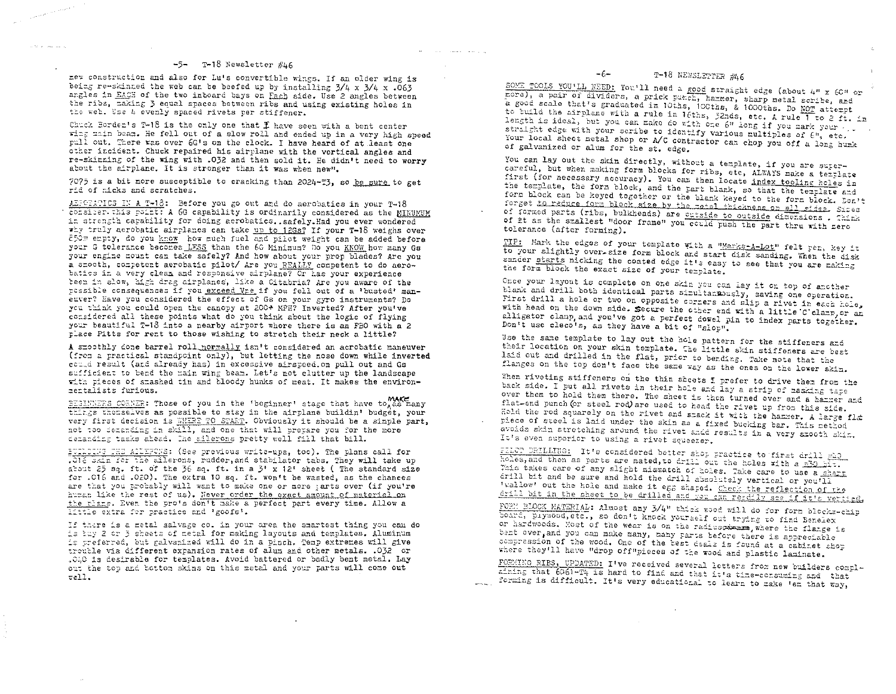n.

## $-5$ - T-18 Newsletter  $\#$ 46

new construction and also for Lu's convertible wings. If an older wing is being re-skinned the web can be beefed up by installing  $3/4 \times 3/4 \times .063$ angles in EACH of the two inboard bays on Each side. Use 2 angles between the ribs, making 3 equal spaces between ribs and using existing holes in the web. Use 4 evenly spaced rivets per stiffener.

Chuck Borden's T-18 is the only one that  $\mathfrak I$  have seen with a bent center wing main beam. He fell out of a slow roll and ended up in a very high speed pull out. There was over 6G's on the clock. I have heard of at least one other incident. Chuck repaired his airplane with the vertical angles and re-skinning of the wing with .032 and then sold it. He didn't need to worry about the airplane. It is stronger than it was when new".

7075 is a bit more susceptible to cracking than 2024-T3, so be sure to get rid of nicks and scratches.

AERCEATICS IN A T-18: Before you go out and do aerobatics in your T-18 consider this point: A 6G capability is ordinarily considered as the MINUMUM in strength carability for doing aerobatics. safely. Had you ever wondered why truly aerobatic airplanes can take up to 12Gs? If your T-18 weighs over 850= empty, do you know how much fuel and pilot weight can be added before your G tolerance becomes LESS than the 6G Minimum? Do you KNOW how many Gs your engine mount can take safely? And how about your prop blades? Are you a smooth, competent aerobatic pilot/ Are you REALLY competent to do aerobatics in a very clean and responsive airplane? Or has your experience been in slow, high drag airplanes, like a Citabria? Are you aware of the possible consequences if you exceed Vre if you fell out of a 'busted' maneuver? Have you considered the effect of Gs on your gyro instruments? Do you think you could open the canopy at 200+ MPH? Inverted? After you've considered all these points what do you think about the logic of flying your beautiful T-13 into a nearby airport where there is an FBO with a 2 place Pitts for rent to those wishing to stretch their neck a little?

A smoothly done barrel roll normally isn't considered an acrobatic maneuver (from a practical standpoint only), but letting the nose down while inverted could result (and already has) in excessive airspeed.on pull out and Gs sufficient to bend the main wing beam. Let's not clutter up the landscape with pieces of smashed tin and bloody hunks of meat. It makes the environmentalists furious.

BEGINNERS CORNER: Those of you in the 'beginner' stage that have to make things themselves as possible to stay in the airplane buildin' budget, your very first decision is WHERE TO START. Obviously it should be a simple part, not too demanding in skill, and one that will prepare you for the more demanding tasks ahead. The allerons pretty well fill that bill.

EUTIDING THE AILEFONS: (See previous write-ups, too). The plans call for .016 SAin for the allerons, rudder, and stabilator tabs. They will take up about 25 sq. ft. of the 36 sq. ft. in a 3' x 12' sheet (The standard size for .016 and .020). The extra 10 sq. ft. won't be wasted, as the chances are that you probably will want to make one or more tarts over (if you're human like the rest of us). Never order the exact amount of material on the rians. Even the pro's don't make a perfect part every time. Allow a little extra for practice and 'goofs'.

If there is a metal salvage co. in your area the smartest thing you can do is buy 2 or 3 sheets of metal for making layouts and templates. Aluminum is preferred, but galvanized will do in a pinch. Temp extremes will give trouble via different expansion rates of alum and other metals. . 032 or .010 is desirable for templates. Avoid battered or badly bent metal. Lay out the top and bottom skins on this metal and your parts will come out  $rel.$ 

# T-18 NEWSLETTER #46

 $-6-$ 

SOME TOOLS YOU'LL NEED: You'll need a good straight edge (about 4" x 60" or nore), a pair of dividers, a prick punch, hamper, sharp metal scribe, and a good scale that's graduated in 10ths, 100ths, & 1000ths. Do NOT attempt to build the airplane with a rule in 16ths, 32nds, etc. A rule 1 to 2 ft. in length is ideal, but you can make do with one 6" long if you mark your. straight edge with your scribe to identify various multiples of  $\epsilon$ ", etc. Your local sheet metal shop or A/C contractor can chop you off a long hunk of galvanized or alum for the st. edge.

You can lay out the skin directly, without a template, if you are supercareful, but when making form blocks for ribs, etc. ALWAYS make a terrlate first (for necessary accuracy). You can then locate index tooling holes in the template, the form block, and the part blank, so that the template and form block can be keyed together or the blank keyed to the form block. Bon't forget to reduce form block size by the metal thickness on all sides. Sizes of formed parts (ribs, bulkheads) are <u>outside to outside</u> dimensions. Think of #t as the smallest "door frame" you could push the part thru with zero tolerance (after forming).

TIP: Mark the edges of your template with a "Marks-A-Lot" felt pen, key it to your slightly over-size form block and start disk sanding. When the disk sander starts nicking the coated edge it's easy to see that you are making the form block the exact size of your template.

Once your layout is complete on one skin you can lay it on top of another blank and drill both identical parts simultaniously, saving one operation. First drill a hole or two on opposite corrers and slip a rivet in each hole, with head on the down side. Secure the other end with a little C'clamp, or an alligator clanp and you've got a perfect dowel pin to index parts together. Don't use cleco's, as they have a bit of "slop".

Use the same template to lay out the hole pattern for the stiffeners and their location on your skin template. The little skin stiffeners are best laid out and drilled in the flat, prior to bending. Take note that the flanges on the top don't face the same way as the ones on the lower skin.

Then riveting stiffeners on the thin sheets I prefer to drive them from the back side. I put all rivets in their hole and lay a strip of masking tape over them to hold them there. The sheet is then turned over and a harrer and flat-end punch (or steel rod) are used to head the rivet up from this side. Hold the rod squarely on the rivet and smack it with the hammer. A large fla piece of steel is laid under the skin as a fixed bucking bar. This method avoids skin stretching around the rivet andd results in a very stooth skin. It's even superior to using a rivet squeezer.

FILOT DRILLING: It's considered better shop practice to first drill 200 holes, and then as parts are mated, to drill out the holes with a m30 ht. This takes care of any slight miswatch of holes. Take care to use a sharp crill bit and be sure and hold the drill absolutely vertical or you'll tuallow! out the hole and make it egg shaped. Check the reflection of the drill bit in the sheet to be drilled and you can resdily see if it's vertical

FORM BLOCK MATERIAL: Almost any 3/4" thisk wood will do for form blocks-chip board, piywood, etc., so don't knock yourself out trying to find Benelex or hardwoods. Most of the wear is on the radiuscare where the flange is bent over, and you can make many, many parts before there is appreciable compression of the wood. One of the test deals is found at a cabinet shop where they'll have "drop off"pieces of the wood and plastic laminate.

FORMING RIBS, UPDATED: I've received several letters from new builders complaining that 6061-T4 is hard to find and that it's time-consuming and that forming is difficult. It's very educational to learn to make 'em that way,

and the state of the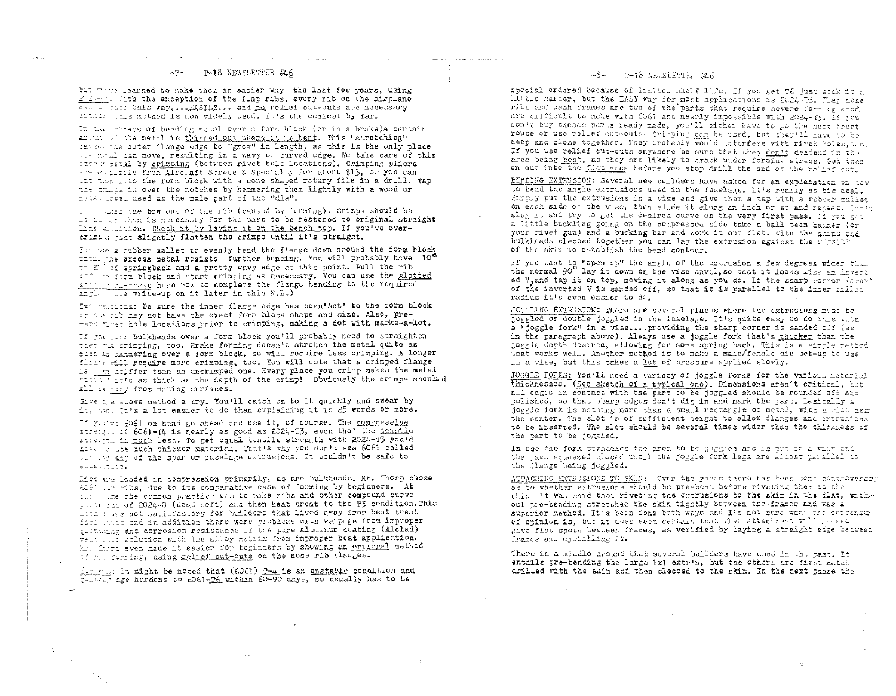### -7- T-18 NEWSLETTER #46

and the company of the

where  $\mathcal{L}^{\mathcal{L}}$  is a subset of  $\mathcal{L}^{\mathcal{L}}$ 

but white learned to make them an easier way the last few years, using 212-th. Kith the exception of the flap ribs, every rib on the airplane can be made this way.... FASILY... and no relief cut-outs are necessary eltion finis method is now widely used. It's the easiest by far.

**Contractor** 

 $\sim$  with  $\sim$  100 km s  $^{-1}$  .  $\sim$ 

the contract of the construction of the contract of the contract of the contract of the contract of the contract of the contract of the contract of the contract of the contract of the contract of the contract of the contra

In the press of bending metal over a form block (or in a brake)a certain andum of the metal is thinned out where it is bent. This "stretching" failed the outer flange edge to "grow" in length, as this is the only place the fight can move, resulting in a wavy or curved edge. We take care of this excess petal by crimping (between rivet hole locations). Crimping pliers are authesis from Aircraft Spruce & Specialty for about \$13, or you can at them into the form block with a cone shaped rotary file in a drill. Tap the cripts in over the notches by hammering them lightly with a wood or metal invel used as the male part of the "die".

This same the bow out of the rib (caused by forming). Crimps should be If adver than is necessary for the part to be restored to original straight like manition. Check it by laying it on the bench top. If you've overstimper just slightly flatten the crimps until it's straight.

It as a rubber mallet to evenly bend the flange down around the form block their the excess metal resists further bending. You will probably have 10<sup>6</sup> to  $\mathbb{Z}^2$  af springback and a pretty wavy edge at this point. Pull the rib aff the form block and start crimping as necessary. You can use the slotted still moni-brake here now to complete the flange bending to the required Engla ste write-up on it later in this N.L.)

It callents: Be sure the inner flange edge has been'set' to the form block ar the rib may not have the exact form block shape and size. Also, premark rivet hole locations prior to crimping, making a dot with marks-a-lot.

If you form bulkheads over a form block you'll probably need to straighten then the crimping, too. Erake forming doesn't stretch the metal quite as mess as harmering over a form block, so will require less crimping. A longer flames will require more crimping, too. You will note that a crimped flange La han stiffer than an uncrimped one. Every place you crimp makes the metal Times it's as thick as the depth of the crimp! Obviously the crimps should d all maray from mating surfaces.

Eive are above method a try. You'll catch on to it quickly and swear by it, tw. It's a lot easier to do than explaining it in 25 words or more.

If yuy we 6061 on hand go ahead and use it, of course. The compressive streagen of 6061-T4 is nearly as good as 2024-T3, even tho' the tensile strength is much less. To get equal tensile strength with 2024-T3 you'd have a ine much thicker material. That's why you don't see 6061 called the last any of the spar or fuselage extrusions. It wouldn't be safe to subcalcuta.

His are loaded in compression primarily, as are bulkheads. Mr. Thorp chose 606) Jar ribs, due to its comparative ease of forming by beginners. At that the che common practice was to make ribs and other compound curve parts on 2024-0 (dead soft) and then heat treat to the T3 condition. This tended was not satisfactory for builders that lived away from heat treat facilities and in addition there were problems with warpage from improper gissinging and corrosion resistance if the pure aluminum coating (Alclad) reat this solution with the alloy matrix from improper heat application. hr. There even made it easier for beginners by showing an optional method if r. forming, using relief cut-outs on the nose rib flanges.

114 - Li It might be noted that (6061) T-4 is an unstable condition and callery age hardens to 6061-16 within 60-90 days, so usually has to be

### $-8-$  T-18 NEWSLETTER #46

special ordered because of limited shelf life. If you get 76 just sock it a little harder, but the EASY way for most applications is 2024-T3. Flap nose ribs and dash frames are two of the parts that require severe forming anno are difficult to make with 6061 and nearly impossible with 2024-T5. If you don't buy theses parts ready made, you'll either have to go the heat treat route or use relief cut-outs. Crimping can be used, but they'll have to be deep and close together. They probably would interfere with river holes, too. If you use relief cut-outs anywhere be sure that they don't deadend in the area being bent, as they are likely to crack under forming stress. Get them on out into the flat area before you stop drill the end of the relief cut.

EXMOING EXTRUSION: Several new builders have asked for an explanation on how to bend the angle extrusions used in the fuselage. It's really no big deal. Simply put the extrusions in a vise and give them a tap with a rubber mallet on each side of the vise, then slide it along an inch or so and repeat. Don't slug it and try to get the desired curve on the very first pass. If you get a little buckling going on the compressed side take a ball peen hairer (or your rivet gun) and a bucking bar and work it out flat. With the skins and bulkheads clecoed together you can lay the extrusion against the CUTEIDE of the skin to establish the bend contour.

If you want to "open up" the angle of the extrusion a few degrees wider than the normal 90<sup>0</sup> lay it down on the vise anvil, so that it looks like an inverted V, and tap it on top, moving it along as you do. If the sharp corner (apex) of the inverted V is sanded off, so that it is parallel to the inser fills: radius it's even easier to do.

JOGGLING EXTRUSION: There are several places where the extrusions must be joggled or double joggled in the fuselage. It's quite easy to do this with a "joggle fork" in a vise....providing the sharp corner is sanded off (as in the paragraph above). Always use a joggle fork that's thicker than the joggle depth desired, allowing for some spring back. This is a simple method that works well. Another method is to make a male/female die set-up to use in a vise, but this takes a lot of pressure applied slowly.

JOGGLE FORKS: You'll need a variety of joggle forks for the various material thicknesses. (See sketch of a typical one). Dimensions aren't critical, but all edges in contact with the part to be joggled should be rounded off and polished, so that sharp edges don't dig in and mark the part. Easically a joggle fork is nothing more than a small rectangle of metal, with a slot near the center. The slot is of sufficient height to allow flanges and extruatens to be inserted. The slot should be several times wider than the thickness of the part to be joggled.

In use the fork straddles the area to be joggled and is put in a vise and the jaws squeezed closed until the joggle fork legs are almost parallel to the flange being joggled.

ATTACHING EXTRUSIONS TO SKIN: Over the years there has been some controverare as to whether extrusions should be pre-bent before riveting ther to the skin. It was said that riveting the extrusions to the skin in the flat, without pre-bending stretched the skin tightly between the frames and was a superior method. It's been done both ways and I'm not sure what the consensus of opinion is, but it does seem certain that flat attachment will inseed give flat spots between frames, as verified by laying a straight edge hetween frames and eyeballing it.

 $\Delta$ 

 $\leq$ 

There is a middle ground that several builders have used in the past. It entails pre-bending the large 1x1 extr'n, but the others are first match drilled with the skin and then clecoed to the skin. In the next phase the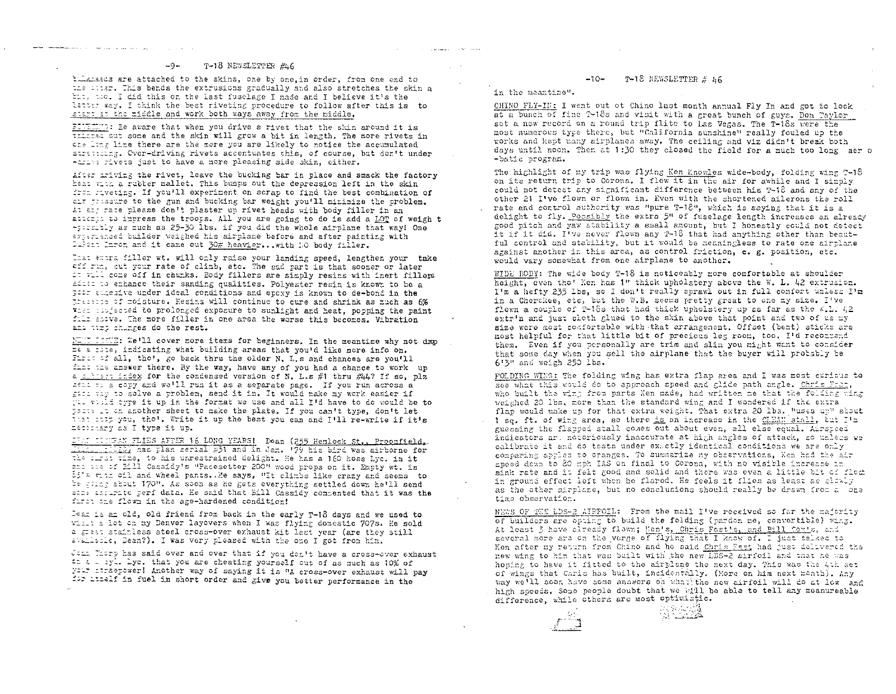tillateds are attached to the skins, one by one, in order, from one end to the whist. This bends the extrusions gradually and also stretches the skin a tit, too. I did this on the last fuselage I made and I believe it's the latter way. I think the best riveting procedure to follow after this is to start at the middle and work both ways away from the middle.

FINEING: Ee aware that when you drive a rivet that the skin around it is the cost some and the skin will grow a bit in length. The more rivets in cas lins line there are the more you are likely to notice the accumulated strations. Over-driving rivets accentuates this, of course, but don't under -trive rivets just to have a more pleasing side skin, cither.

After iniving the rivet, leave the bucking bar in place and smack the factory hest with a rubber mallet. This bumps out the depression left in the skin from riveting. If you'll experiment on scrap to find the best combination of all wrissure to the gun and bucking bar weight you'll minimize the problem. At any rate please don't plaster up rivet heads with body filler in an attempt to impress the troops. All you are going to do is add a LOT of weight -pormibly as much as 25-30 lbs. if you did the whole airplane that way! One ertemenced builder weighed his airplane before and after painting with Direct Informand it came out 30# heavier... with NO body filler.

List anora filler wt. will only raise your landing speed, lengthen your take off run, out your rate of climb, etc. The sad part is that sooner or later it this come off in chunks. Body fillers are simply resins with inert fillers adden to enhance their sanding qualities. Polyester resin is known to be a peer assessive under ideal conditions and epoxy is known to de-bond in the prassine of moisture. Resins will continue to cure and shrink as much as 6% then indicated to prolonged exposure to sunlight and heat, popping the paint fill savve. The more filler in one area the worse this becomes. Vibration and they chunges do the rest.

MENT DIENE: We'll cover more items for beginners. In the meantime why not drop If a lite, indicating what building areas that you'd like more info on. First of all, tho', go back thru the older N. L.s and chances are you'll first the answer there. By the way, have any of you had a chance to work up a sitiant index for the condensed version of N. L.s #1 thru #4? If so, plz sell to a copy and we'll run it as a separate page. If you run across a gich var to solve a problem, send it in. It would make my work easier if The visid type it up in the format we use and all I'd have to do would be to pacts it on another sheet to make the plate. If you can't type, don't let that soap you, the'. Write it up the best you can and I'll re-write if it's messaisary as I type it up.

ING COODERN FLIES AFTER 16 LONG YEARS! Dean (255 Hemlock St., Proomfield, This will has plan serial #31 and in Jan. 179 his bird was airborne for the airst time, to his unrestrained delight. He has a 160 hoss Lyc. in it and the of Ell Cassidy's "Pacesetter 200" wood props on it. Empty wt. is 35 = viin oil and wheel pants. He says, "It climbs like crazy and seems to be sting about 170". As soon as he gets everything settled down he'll send same additionate perf data. He said that Bill Cassidy commented that it was the furor one flown in the age-hardened condition!

Dear is an old, old friend from back in the early T-18 days and we used to will a let on my Denver layovers when I was flying domestic 707s. He sold a green stainless steel cross-over exhaust kit last year (are they still availacle, Dean?). I was very pleased with the one I got from him.

Jean Therp has said over and over that if you don't have a cross-over exhaust an a leyl. Lyc. that you are cheating yourself out of as much as 10% of your integrower! Another way of saying it is "A cross-over exhaust will pay for itself in fuel in short order and give you better performance in the

#### $-10-$ T-18 NEWSLETTER # 56

in the meantime".

and the companies of the companies

CHINO FLY-IN: I went out ot Chino last month annual Fly In and got to look at a bunch of fine T-18s and visit with a great bunch of guys. Don Taylor sot a new record on a round trip flite to Las Vegas. The T-18s were the most numerous type there, but "California sunshine" really fouled up the works and kept many airplanes away. The ceiling and viz didn't break both days until noon. Then at 1:30 they closed the field for a nuch too long aer o -batic program.

The highlight of my trip was flying Ken Knowles wide-body, folding wing T-18 on its return trip to Corona. I flew it in the air for awhile and I simply could not detect any significant difference between his T-18 and any of the other 21 I've flown or flown in. Even with the shortened ailerons the roll rate and control authority was "pure T-18", which is saying that it is a delight to fly. Possibly the extra 5" of fuselage length increases an already good pitch and yaw stability a small amount, but I honestly could not detect it if it did. I've never flown any T-18 that had anything other than beautful control and stability, but it would be meaningless to rate one airclane against another in this area, as control friction, c. g. position, etc. would vary somewhat from one airplane to another.

WIDE BODY: The wide body T-18 is noticeably more comfortable at shoulder height, even the' Ken has 1" thick upholstery above the W. L. 42 extrusion. I'm a hefty 235 lbs, so I don't really sprawl out in full comfort unless I'm in a Cherckee, etc, but the W.B. seems pretty great to one my size. I've flown a couple of T-18s that had thick upholstery up as far as the K.L. 42 extr'n and just cloth glued to the skin above that point and two of us my size were most comfortable with that arrangement. Offset (bent) sticks are most helpful for that little bit of precious leg room, too. I'd recommend them. Even if you personally are trim and slim you might want to consider that some day when you sell the airplane that the buyer will procably be 6'3" and weigh 250 lbs.

FOLDING WING: The folding wing has extra flap area and I was most curious to see what this would do to approach speed and glide path angle. Chris Frat, who built the wint from parts Ken made, had written me that the folding wing weighed 20 lbs. more than the standard wing and I wondered if the extra flap would make up for that extra weight. That extra 20 lbs. Musss up" about 1 sq. ft. of wing area, so there is an increase in the CLEAN stall, but I'm guessing the flapped stall comes out about even, all else equal. Airspeed indicators ar, notoriously inaccurate at high angles of attack, so unless we calibrate it and do tests under exactly identical conditions we are only comparing apples to oranges. To summarize my observations, Ken had the air speed down to 80 mph IAS on final to Corona, with no visible increase in sink rate and it felt good and solid and there was even a little bit of float in ground effect left when he flared. He feels it flies as least as glowly as the other airplane, but no conclusions should really be drawn from a one time observation.

NEWS OF THE LDS-2 AIRFOIL: From the mail I've received so far the majority of builders are opting to build the folding (pardon me, convertible) wing. At least 3 have already flown; Men's, Chris Fast's, and Bill (ox's, and several more are on the verge of flying that I know of. I just talked to Ken after my return from Chino and he said Chris Fast had just delivered the new wing to him that was built with the new LDS-2 airfoil and that he was hosing to have it fitted to the airplane the next day. This was the 4th set of wings that Caris has built, incidentally. (More on him next month). Any way we'll soon have some answers on what the new airfoil will do at low and high soceds. Some people doubt that we will be able to tell any measureable difference, while others are most optimistic.

 $\mathcal{L}_{\mathbf{A}}$ 

は冷え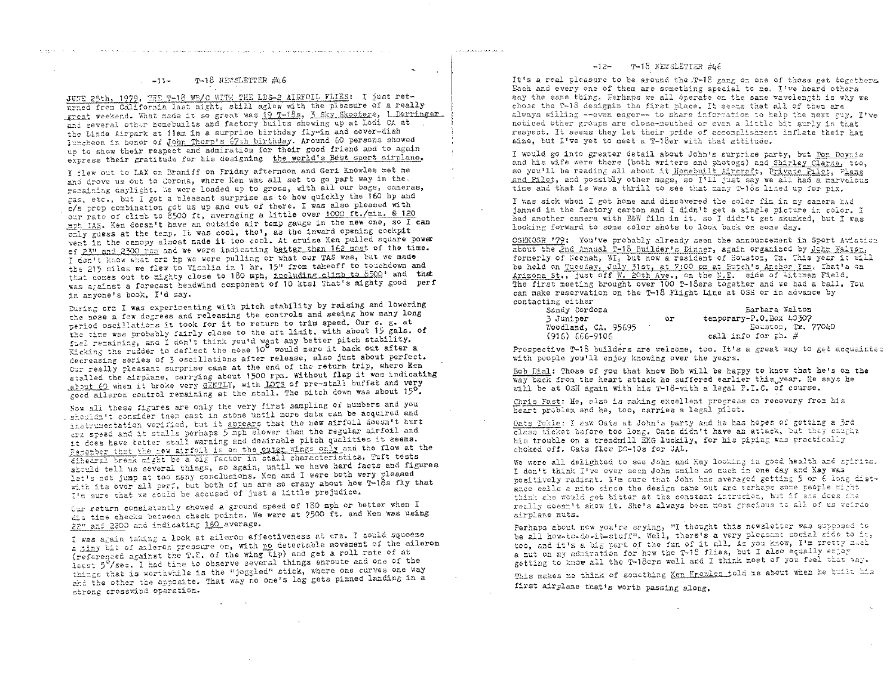#### T-18 NEWSLETTER #46  $-11-$

الراز الامتينجيلي مالكتي والمستعاد الارتزاح شوريا ولاوقع لمستعمله فلان المعر الأواد المرادية وقررار الراحي المرجح

JUNE 25th, 1979, THE T-18 WE/C WITH THE LDS-2 AIRFOIL FLIES: I just returned from California last night, still aglow with the pleasure of a really great weekend. What made it so great was 19 T-18s, 3 Sky Skooters, 1 Derringer and several other homebuilts and factory builts showing up at Lodi CA at the Linde Airpark at 11am in a surprise birthday fly-in and cover-dish luncheen in henor of John Therp's 67th birthday. Around 60 persons showed up to show their respect and admiration for their good friend and to again express their gratitude for his designing the world's Best sport airplane,

I flew out to LAX on Braniff on Friday afternoon and Geri Knowles met me and drove us out to Corona, where Ken was all set to go part way in the. remaining daylight. We were loaded up to gross, with all our bags, cameras, gas, etc., but I got a pleasant surprise as to how quickly the 160 hp and c/s prop combination got us up and out of there. I was also pleased with our rate of climb to 8500 ft, averaging a little over 1000 ft./min. @ 120 mph IAS. Ken doesn't have an outside air temp gauge in the new one, so I can only guess at the temp. It was cool, tho', as the inward opening cockpit vent in the canopy almost made it too cool. At cruise Ken pulled square power of 23" and 2300 rpm and we were indicating better than 162 most of the time. I don't know what cra hp we were pulling or what our TAS was, but we made the 215 miles we flew to Vicalia in 1 hr. 15" from takeoff to touchdown and that comes out to mighty close to 180 mph, including climb to 8500' and that was against a forecast headwind component of 10 kts! That's mighty good perf in anyone's book, I'd say.

During crz I was experimenting with pitch stability by raising and lowering the nose a few degrees and releasing the controls and seeing how many long period oscillations it took for it to return to trim speed. Our c. g. at the time was probably fairly close to the aft limit, with about 15 gals. of fuel remaining, and I don't think you'd want any better pitch stability.<br>Kicking the rudder to deflect the nose 10 would zero it back out after a decreasing series of 3 oscillations after release, also just about perfect. Our really pleasant surprise came at the end of the return trip, where Ken stalled the airplane, carrying about 1500 rpm. Without flap it was indicating about 60 when it broke very GENTLY, with LOTS of pre-stall buffet and very good aileron control remaining at the stall. The pitch down was about 150.

Now all these figures are only the very first sampling of numbers and you . shouldn't consider them cast in stone until more data can be acquired and instrumentation verified, but it appears that the new airfoil doesn't hurt crz speed and it stalls perhaps 5 mph slower than the regular airfoil and it does have tetter stall warning and desirable pitch qualities it seems. Femeroer that the new airfoil is on the outer wings only and the flow at the dihedral break might be a big factor in stall characteristics. Tuft tests should tell us several things, so again, until we have hard facts and figures let's not jump at too many conclusions. Ken and I were both very pleased with its over all perf, but both of us are so crazy about how T-18s fly that I'm sure that we could be accused of just a little prejudice.

Cur return consistently showed a ground speed of 180 mph or better when I dia time checks between check points. We were at 7500 ft. and Ken was using 22" and 2200 and indicating 160 average.

I was again taking a look at aileron effectiveness at crz. I could squeeze a tiny bit of aileron pressure on, with no detectable movement of the aileron (referenced against the T.E. of the wing tip) and get a roll rate of at least 5% sec. I had time to observe several things enroute and one of the things that is worthwhile is the "joggled" stick, where one curves one way and the other the opposite. That way no one's leg gets pinned landing in a strong crosswind operation.

### -12- T-18 NEWSLETTER #46

.<br>The world official and CNAT (artist) can

It's a real pleasure to be around the T-18 gang on one of those get togethers. Each and every one of them are something special to me. I've heard others say the same thing. Ferhaps we all operate on the same wavelength is why we chose the T-18 designin the first place. It seems that all of them are always willing --even eager-- to share information to help the next gay. I've noticed other groups are close-mouthed or even a little bit surly in that respect. It seems they let their pride of accomplishment inflate their hat size, but I've yet to meet a T-18er with that attitude.

I would go into greater detail about John's surprise party, but <u>Pon Downi</u>e and his wife were there (both writers and photogs) and Shirley Clarke, too, so you'll be reading all about it Homebuilt Aircraft, Private Pilot, Plane and Pilot, and possibly other mags, so I'll just say we all had a marvelous time and that is was a thrill to see that many 7-18s lined up for pix.

I was sick when I got home and discovered the color fim in my camera had jammed in the factory carton and I didn't get a single picture in color. I had another camera with B&W film in it, so I didn't get skunked, but I was looking forward to some color shots to look back on some day.

OSHKOSH '79: You've probably already seen the announcement in Sport Aviation about the 2nd Annual T-18 Builder's Dinner, again organized by John Walton, formerly of Neemah, WI, but now a resident of Houston, Tx. This year it will be held on Tuesday, July 31st, at 7:00 pm at Eutch's Anchor Inn. That's on Arizona St., just off W. 20th Ave., on the N.E. side of Wittman Pield. The first meeting brought over 100 T-18ers together and we had a ball. You can make reservation on the T-18 Flight Line at OSE or in advance by contacting either

| Sandy Cordoza       |    | Bartara Walton          |
|---------------------|----|-------------------------|
| 3 Juniper           | or | temporary-P.O.Box 40307 |
| Woodland, CA, 95695 |    | Equator, Tx. 77040      |
| $(916) 666 - 9106$  |    | call info for th. #     |

Prospective T-18 builders are welcome, too. It's a great way to get acquainted with people you'll enjoy knowing over the years.

Bob Dial: Those of you that know Bob will be happy to know that he's on the way back from the heart attack he suffered earlier this year. He says he will be at OSH again with his T-18-with a legal P.I.C. of course.

Chris Fast: He, also is making excellent progress on recovery from his heart problem and he, too, carries a legal pilot.

Oats Tokle: I saw Oats at John's party and he has hopes of getting a 3rd class ticket before too long. Oats didn't have an attack, but they caught his trouble on a treadmill EKG luckily, for his piping was practically choked off. Oats flew DC-10s for CAL.

We were all delighted to see John and Kay looking in good health and spirits. I don't think I've ever seen John smile so much in one day and Kay was positively radiant. I'm sure that John has averaged getting 5 or 6 long distance calls a nite since the design came out and perhaps some people might think she would get bitter at the constant intrusion, but if she does she really doesn't show it. She's always been most gracious to all of us weirdo airplane nuts.

Perhaps about now you're saying, "I thought this newsletter was supposed to be all how-to-do-it-stuff". Well, there's a very pleasant social side to it, too, and it's a big part of the fun of it all. As you know, I'm pretty mack a nut on my admiration for how the T-18 flies, but I also equally enjoy getting to know all the T-18ers well and I think most of you feel that way.

This makes me think of something Ken Knowles told me about when he built his first airplane that's worth passing along.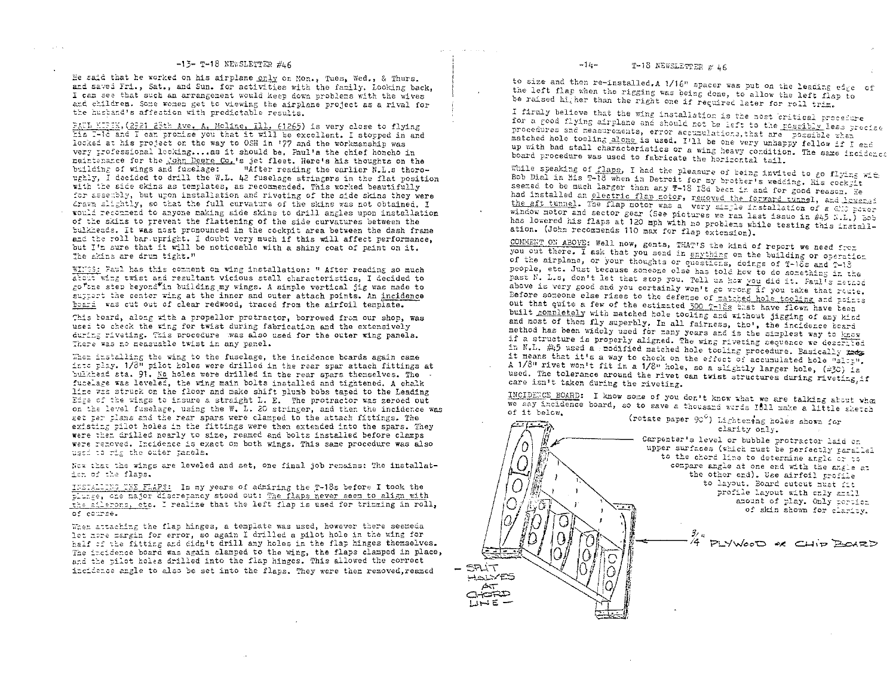### $-15-$  T-18 NEWSLETTER #L6

He said that he worked on his airplane only on Mon., Tues. Wed., & Thurs. and saved Fri., Sat., and Sun. for activities with the family. Looking back. I can see that such an arrangement would keep down problems with the wives and children. Some women get to viewing the airplane project as a rival for the husband's affection with predictable results.

PACL KIPIK, (2921 23th Ave. A, Moline, Ill. (1265) is very close to flying Eis I-10 and I can promise you that it will be excellent. I stopped in and locked at his project on the way to OSH in '77 and the workmanship was very professional locking....as it should be. Paul's the chief honcho in maintenance for the John Deere Co.'s jet fleet. Here's his thoughts on the building of wings and fuselage: "Mitter reading the earlier N.L.s thornughly, I decided to drill the W.L. 42 fuselage stringers in the flat position with the side skins as templates, as recommended. This worked beautifully for assembly, but upon installation and riveting of the side skins they were drawn slightly, so that the full curvature of the skins was not obtained. I would recommend to anyone making side skins to drill angles upon installation of the skins to trevent the flattening of the side curvatures between the pulkheads. It was most pronounced in the cockpit area between the dash frame and the roll bar upright. I doubt very much if this will affect performance. but I'm sure that it will be noticeable with a shiny coat of paint on it. The skins are drum tight."

WINGS: Faul has this comment on wing installation: " After reading so much atout wing twist and resultant vicious stall characteristics. I decided to go"the step beyond"in building my wings. A simple vertical jig was made to surtert the center wing at the inner and outer attach points. An incidence board was cut out of clear redwood, traced from the airfoil template.

This beard, along with a propellor protractor, borrowed from our shop, was used to check the wing for twist during fabrication and the extensively during riveting. This procedure was also used for the outer wing panels. There was no measuable twist in any panel.

When installing the wing to the fuselage, the incidence boards again came into thay. 1/3" pilot holes were drilled in the rear spar attach fittings at bulkhead sta. 91. No holes were drilled in the rear spars themselves. The fucelage was leveled, the wing main bolts installed and tightened. A chalk line was struck on the floor and make shift plumb bobs taped to the Leading Edge of the wings to insure a straight L. E. The protractor was zeroed out on the level fuselage, using the W. L. 20 stringer, and then the incidence was get per plans and the rear spars were clamped to the attach fittings. The existing pilot holes in the fittings were then extended into the spars. They were then drilled nearly to size, reamed and bolts installed before clamps were renoved. Incidence is exact on both wings. This same procedure was also used to rig the outer panels.

Now that the wings are leveled and set, one final job remains: The installatiem of the flaps.

INSTALLING THE FLAPS: In my years of admiring the T-18s before I took the plunge, one major discrepancy stood out: The flaps never seem to align with the ailerons, etc. I realize that the left flap is used for trimming in roll. of corree.

When attaching the flap hinges, a template was used, however there seemeda let nore margin for error, so again I drilled a pilot hole in the wing for half of the fitting and didn't drill any holes in the flap hinges themselves. The incidence board was again clamped to the wing, the flaps clamped in place, and the pilot holes drilled into the flap hinges. This allowed the correct incidence angle to also be set into the flaps. They were then removed.reamed

to size and then re-installed.A 1/16" spacer was put on the leading edge of the left flap when the rigging was being done, to allow the left flap to be raised hi, her than the right one if required later for roll trim.

I firmly believe that the wing installation is the most critical procedure for a good flying airplane and should not be left to the rescibly less precise procedures and measurements, error accumulations, that are possible zhen matched hole tooling alone is used. I'll be one very unhappy fellow if I end up with bad stall characteristics or a wing heavy condition. The same incidence board procedure was used to fabricate the horizontal tail.

While speaking of flaps, I had the pleasure of being invited to go flying with Bob Dial in his T-18 when in Detroit for my brother's wedding. His cock it seemed to be much larger than any T-18 13d been in and for good reason. He had installed an electric flap rotor, removed the forward tunnel, and lowers: the aft tunnel. The flap motor was a very simple installation of a GNO power window motor and sector gear (See pictures we ran last issue in #45 K.L.) Bob has lowered his flaps at 120 mph with no problems while testing this installation. (John recommends 110 max for flap extension).

CONMENT ON ABOVE: Well now, gents, THAT'S the kind of report we need frem you out there. I ask that you send in anything on the building or operation of the airplane, or your thoughts or questicns, doings of T-18s and T-13 people, etc. Just because someone else has told how to do something in the past N. L.s, don't let that stop you. Tell us how you did it. Faul's method above is very good and you certainly won't go wrong if you take that route. Before someone else rises to the defense of matched hole tooling and points out that quite a few of the estimated 300 T-18s that have flown have teen built completely with matched hole tooling and without jigging of any kind and most of them fly superbly. In all fairness, tho', the incidence board method has been widely used for many years and is the simplest way to know if a structure is properly aligned. The wing riveting sequence we described in N.L. #45 used a modified matched hole tooling procedure. Basically mes it means that it's a way to check on the effect of accumulated hole "slog". A 1/8" rivet won't fit in a 1/8" hole, so a slightly larger hole, (#30) is used. The tolerance around the rivet can twist structures during riveting if care isn't taken during the riveting.

INCIDENCE BOARD: I know some of you don't know what we are talking about when we say incidence board, so to save a thousand words IBIL make a little sketch

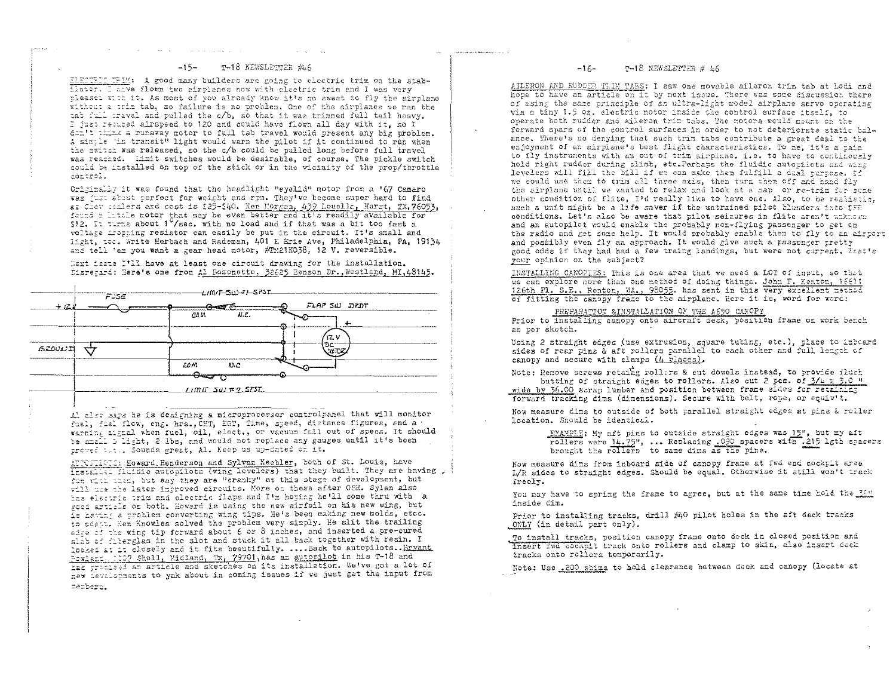#### T-18 NEWSLETTER #46  $-15-$

ELECTRIC TRIM: A good many builders are going to electric trim on the stabllater. I aave flown two airplanes now with electric trim and I was very pleaset with it. As most of you already know it's no sweat to fly the airplane without a trim tab, so failure is no problem. One of the airplanes we ran the tab full travel and pulled the c/b, so that it was trimmed full tail heavy. I just refused airspeed to 120 and could have flown all day with it. so I don't think a runaway notor to full tab travel would present any big problem. A simple 'in transit" light would warn the pilot if it continued to run when the switch was released, so the c/b could be pulled long before full travel was reached. Limit switches would be desirable, of course. The pickle switch could be installed on top of the stick or in the vicinity of the prop/throttle control.

Originally it was found that the headlight "eyelid" motor from a '67 Camaro was just about perfect for weight and rpm. They've become super hard to find at Chev lealers and cost is \$25-\$40. Ken Morgan, 439 Louella, Hurst, TX.76053, found a little motor that may be even better and it's readily available for \$12. It turns about  $1^0$ /sec. with no load and if that was a bit too fast a voltage dropping resistor can easily be put in the circuit. It's small and light, tec. Write Herbach and Rademan, 401 E Erie Ave, Philadelphia, PA, 19134 and tell 'em you want a gear head motor, #TM21KO38, 12 V. reversible.

Next issue I'll have at least one circuit drawing for the installation. Disregard: Here's one from Al Bosonetto, 32625 Benson Dr., Westland, MI,48145.

|        | <b>FUSE</b> |               | - <i>∟m\T</i> −S∆≻⊄⊢SP\$T |              |  |
|--------|-------------|---------------|---------------------------|--------------|--|
| 土泥土    |             | CD IA         | and to<br>AL.             | FLAP SW DRDT |  |
|        |             |               |                           | 12 V         |  |
| GLOUUR |             |               |                           | .DC          |  |
|        |             | com<br>╼═╾┱┱═ | R) C                      |              |  |
|        |             |               | Limit_zu) # 2_SPST        |              |  |

Al alst says he is designing a microprocessor controlpanel that will monitor fuel, fuel flow, eng. hrs., CHT, EGT, Time, speed, distance figures, and a warning signal when fuel, oil, elect., or vacuum fall out of specs. It should be small light, 2 lbs, and would not replace any gauges until it's been proved ilt., Sounds great, Al. Keep us up-dated on it.

AUTOFILMES: Howard Henderson and Sylvan Keepler, both of St. Louis, have installed fluigic autopilots (wing levelers) that they built. They are having fur with then, but say they are "cranky" at this stage of development, but will use the later improved circuits. More on these after OSH. Sylan also has electric trim and electric flaps and I'm hoping he'll come thru with a good article on both. Howard is using the new airfoil on his new wing, but is having a problem converting wing tips. He's been making new molds, etcc. to adapt. Hen Knowles solved the problem very simply. He slit the trailing edse of the wing tip forward about 6 or 8 inches, and inserted a pre-cured slab of futerglas in the slot and stuck it all back together with resin. I looked at it closely and it fits beautifully. .... Back to autopilots. Bryant Porland, 1007 Shell, Midland, Tx, 79701, has an autorilot in his T-18 and has promised an article and sketches on its installation. We've got a lot of new devalogments to yak about in coming issues if we just get the input from membero.

#### T-18 NEWSLETTER # 46  $m16m$

AILERON AND RUDDER TRIM TABS: I saw one movable aileron trim tab at Lodi and hope to have an article on it by next issue. There was some discussion there of using the same principle of an ultra-light model airplane servo operating via a tiny 1.5 oz. electric motor inside the control surface itself. to operate both rudder and aileron trim tabs. The motors would mount on the forward spars of the control surfaces in order to not deteriorate static balance. There's no denying that such trim tabs contribute a great deal to the enjoyment of an airplane's best flight characteristics. To me, it's a pain to fly instruments with an out of trim airplane. i.e. to have to continualy hold right rudder during climb, etc. Perhaps the fluidic autopilots and wing levelers will fill the bill if we can make them fulfill a dual purpose. If we could use them to trim all three axis, then turn them off and hand fly the airplane until we wanted to relax and look at a map or re-trim for some other condition of flite, I'd really like to have one. Also, to be realistic. such a unit might be a life saver if the untrained pilot blunders into IFR conditions. Let's also be aware that pilot seigures in flite aren't unknown and an autopilot would enable the probably non-flying passenger to get on the radio and get some help. It would probably enable them to fly to an aircort and possibly even fly an approach. It would give such a passenger pretty good odds if they had had a few traing landings, but were not current. That's your opinion on the subject?

INSTALLING CANOPIES: This is one area that we need a LOT of input, so that we can explore nore than one method of doing things. John F. Kenton, 16611 126th Pl. S.E., Renton, WA., 98052. has sent in this very excellent method of fitting the canopy frame to the airplane. Here it is, word for word:

PREPARATION & INSTALLATION OF THE A650 CANOPY

Prior to installing canopy onto aircraft deck, position frame on work bench as per sketch.

Using 2 straight edges (use extrusion, square tubing, etc.), place to inboard sides of rear pins & aft rollers parallel to each other and full length of canopy and secure with clamps  $(4 \text{ places})$ .

Note: Remove screws retaing rollers & cut dowels instead, to provide flush butting of straight edges to rollers. Also cut 2 pcs. of 3/4 x 3.0 " wide by 36.00 scrap lumber and position between frame sides for retaining

forward tracking dims (dimensions). Secure with belt, rope, or equiv't.

Now measure dims to outside of both parallel straight edges at pins & roller location. Should be identical.

EXAMPLE: My aft pins to outside straight edges was 15", but my aft rollers were 14.75", ... Replacing .090 spacers with .215 lgth spacers brought the rollers to same dims as the pins.

Now measure dims from inboard side of canopy frame at fwd end cockpit area L/R sides to straight edges. Should be equal. Otherwise it still won't track freely.

You may have to spring the frame to agree, but at the same time hold the lim inside dim.

Prior to installing tracks, drill #40 pilot holes in the aft deck tracks ONLY (in detail part only).

To install tracks, position canopy frame onto deck in closed position and insert iwd cockpit track onto rollers and clamp to skin, also insert deck tracks onto rollers temporarily.

Note: Use .200 shims to hold clearance between deck and canopy (locate at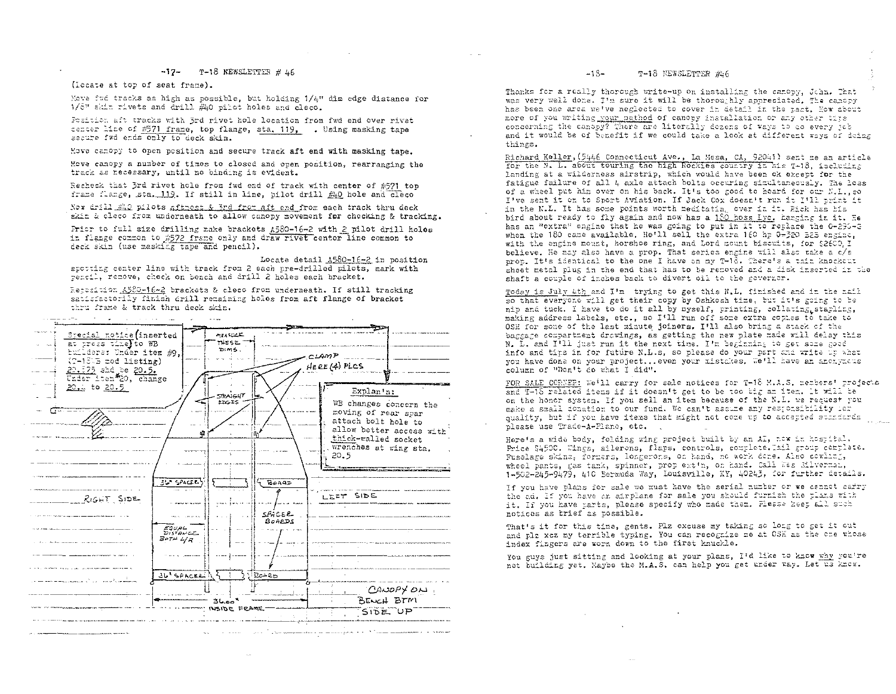### $-17$ - T-18 NEWSLETTER # 46

(locate at top of seat frame).

Move frå tracks as high as possible, but holding 1/4" dim edge distance for 1/8" shin rivets and drill #40 pilot holes and cleco.

Fosition aft tracks with 3rd rivet hole location from fwd end over rivet center line of #571 frame, top flange, sta. 119, . Using masking tape secure fwd ends only to deck skin.

Move canopy to open position and secure track aft end with masking tape.

Move canopy a number of times to closed and open position, rearranging the track as recessary, until no binding is evident.

Recheck that 3rd rivet hole from fwd end of track with center of #571 top frame flange, sta. 119. If still in line, wilot drill #40 hole and cleco

Now drill #20 pilots aftmost & 3rd from aft end from each track thru deck skin & cleco from underneath to allow canopy movement for checking & tracking.

Prior to full size drilling make brackets A580-16-2 with 2 pilot drill holes in flange common to #572 frame only and draw rivet center line common to deck skin (use masking tape and pencil).

Locate detail A580-16-2 in position spotting center line with track from 2 each pre-drilled pilots, mark with pencil, remove, check on bench and drill 2 holes each bracket.

Reposition A580-16-2 brackets & cleso from underneath. If still tracking satisfactorily finish drill remaining holes from aft flange of bracket thru frame & track thru deck skin.

سورة المعادية والمراد الموارد فالمتحامل والمستعمر



#### $-15-$ T-18 NEWSLETTER #46

Thanks for a really thorough write-up on installing the canopy, John. That was very well done. I'm sure it will be thoroughly appreciated. The canopy has been one area welve neglected to cover in detail in the ract. How about more of you writing your method of canopy installation or any other tire<br>concerning the canopy? There are literally dozens of ways to do every job and it would be of benefit if we could take a look at different ways of doing things.

Richard Keller, (5446 Connecticut Ave., La Mesa, CA, 92041) sent me an article for the N. L. about touring the high Rockles country in his 7-18, including landing at a wilderness airstrip, which would have been ok except for the fatigue failure of all 4 axle attach bolts occuring simultaneously. The loss of a wheel put him over on his back. It's too good to hoard for our N.L..so I've sent it on to Sport Aviation. If Jack Cox doesn't run it I'll trint it in the N.L. It has some points worth meditating over in it. Rick has his bird about ready to fly again and now has a 180 hoss Lyc. Hanging in it. He has an "extra" engine that he was going to put in it to replace the 0-295-2 when the 180 came available. He'll sell the extra 160 hp 0-320 E2B engine, with the engine mount, horshoe ring, and Lord mount biscuits, for \$2600. I believe. He may also have a prop. That series engine will also take a c/s prop. It's identical to the one I have on my T-' d. There's a thin knockcut sheet metal plug in the end that has to be removed and a fisk inserted in the shaft a couple of inches back to divert oil to the governor.

Today is July 4th and I'm trying to get this N.L. finished and in the mail so that everyone will get their copy by Oshkosh time, but it's going to be nip and tuck. I have to do it all by myself, printing, collaring, starling, making address labels, etc., so I'll run off some extra copies to take to OSH for some of the last minute joiners. I'll also bring a stack of the baggage compartment drawings, as getting the new plate made will delay this N. L. and I'll just run it the next time. I'm beginning to get some good info and tims in for future N.L.s, so please do your part and write we what vou have done on your project...even your mistakes. We'll have an aponymous column of "Don't do what I did".

FOR SALE CORNER: We'll carry for sale notices for T-18 M.A.S. members' projects and T-18 related items if it doesn't get to be too big am item. It will be on the honor system. If you sell an item because of the N.L. we request you make a small donation to our fund. We can't assume any responsibility ior quality, but if you have items that might not come up to accepted stindards please use Trade-A-Plane, etc.

Here's a wide body, folding wing project built by an AI, now in hostital. Price \$4500. Wings, ailerons, flaps, controls, complete. Tail group complete. Fuselage skins, formers, longerons, on hand, no work done. Also cowling, wheel pants, gas tank, spinner, prop extin, on hand. Call Wes Silvermal, 1-502-245-9479, 410 Bermuda Way, Louisville, KY, 40243, for further details.

If you have plans for sale we must have the serial number or we cannot carry the ad. If you have an airplane for sale you should furnish the plans with it. If you have parts, please specify who made them. Please heet all such notices as trief as tossible.

That's it for this time, gents. Plz excuse my taking so long to get it out and plz xcz my terrible typing. You can recognize me at OSH as the one whose index fingers are worn down to the first knuckle.

You guys just sitting and looking at your plans, I'd like to know why you're not building yet. Maybe the M.A.S. can help you get under way. Let us know.